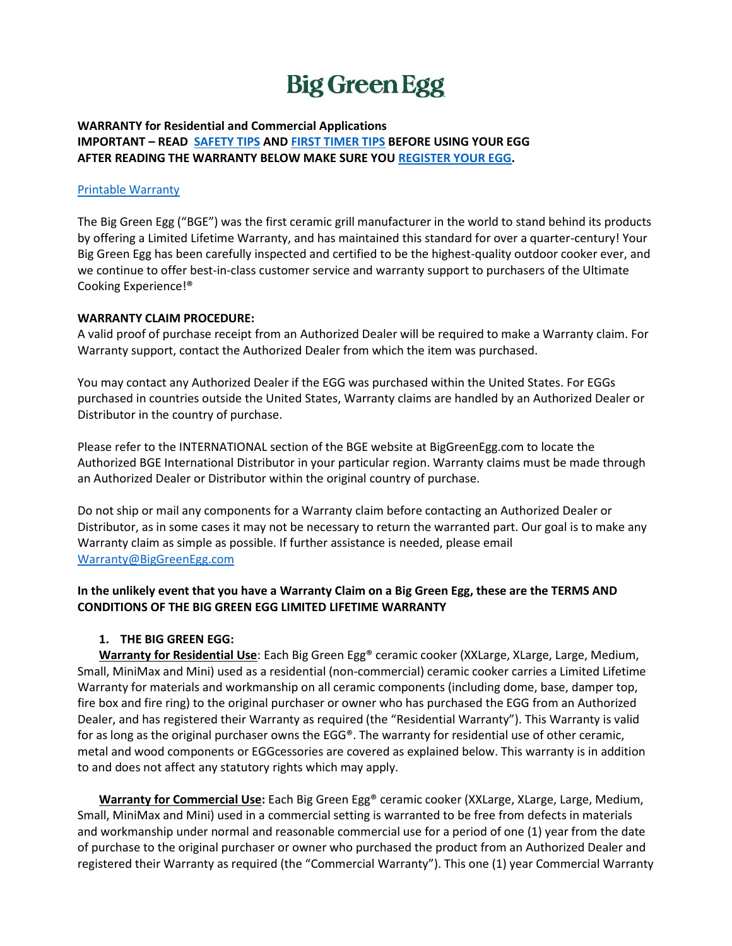# **Big Green Egg**

### **WARRANTY for Residential and Commercial Applications IMPORTANT – READ [SAFETY TIPS](https://biggreenegg.com/safety-tips/) AN[D FIRST TIMER TIPS](https://biggreenegg.com/first-timer-tips/) BEFORE USING YOUR EGG AFTER READING THE WARRANTY BELOW MAKE SURE YOU [REGISTER YOUR EGG.](https://biggreenegg.com/warranty-registration/)**

## [Printable Warranty](https://biggreenegg.com/wp-content/uploads/2015/06/Big-Green-Egg-Warranty-3.2014.pdf)

The Big Green Egg ("BGE") was the first ceramic grill manufacturer in the world to stand behind its products by offering a Limited Lifetime Warranty, and has maintained this standard for over a quarter-century! Your Big Green Egg has been carefully inspected and certified to be the highest-quality outdoor cooker ever, and we continue to offer best-in-class customer service and warranty support to purchasers of the Ultimate Cooking Experience!®

#### **WARRANTY CLAIM PROCEDURE:**

A valid proof of purchase receipt from an Authorized Dealer will be required to make a Warranty claim. For Warranty support, contact the Authorized Dealer from which the item was purchased.

You may contact any Authorized Dealer if the EGG was purchased within the United States. For EGGs purchased in countries outside the United States, Warranty claims are handled by an Authorized Dealer or Distributor in the country of purchase.

Please refer to the INTERNATIONAL section of the BGE website at BigGreenEgg.com to locate the Authorized BGE International Distributor in your particular region. Warranty claims must be made through an Authorized Dealer or Distributor within the original country of purchase.

Do not ship or mail any components for a Warranty claim before contacting an Authorized Dealer or Distributor, as in some cases it may not be necessary to return the warranted part. Our goal is to make any Warranty claim as simple as possible. If further assistance is needed, please email [Warranty@BigGreenEgg.com](mailto:warranty@BigGreenEgg.com)

## **In the unlikely event that you have a Warranty Claim on a Big Green Egg, these are the TERMS AND CONDITIONS OF THE BIG GREEN EGG LIMITED LIFETIME WARRANTY**

#### **1. THE BIG GREEN EGG:**

**Warranty for Residential Use**: Each Big Green Egg® ceramic cooker (XXLarge, XLarge, Large, Medium, Small, MiniMax and Mini) used as a residential (non-commercial) ceramic cooker carries a Limited Lifetime Warranty for materials and workmanship on all ceramic components (including dome, base, damper top, fire box and fire ring) to the original purchaser or owner who has purchased the EGG from an Authorized Dealer, and has registered their Warranty as required (the "Residential Warranty"). This Warranty is valid for as long as the original purchaser owns the EGG®. The warranty for residential use of other ceramic, metal and wood components or EGGcessories are covered as explained below. This warranty is in addition to and does not affect any statutory rights which may apply.

**Warranty for Commercial Use:** Each Big Green Egg® ceramic cooker (XXLarge, XLarge, Large, Medium, Small, MiniMax and Mini) used in a commercial setting is warranted to be free from defects in materials and workmanship under normal and reasonable commercial use for a period of one (1) year from the date of purchase to the original purchaser or owner who purchased the product from an Authorized Dealer and registered their Warranty as required (the "Commercial Warranty"). This one (1) year Commercial Warranty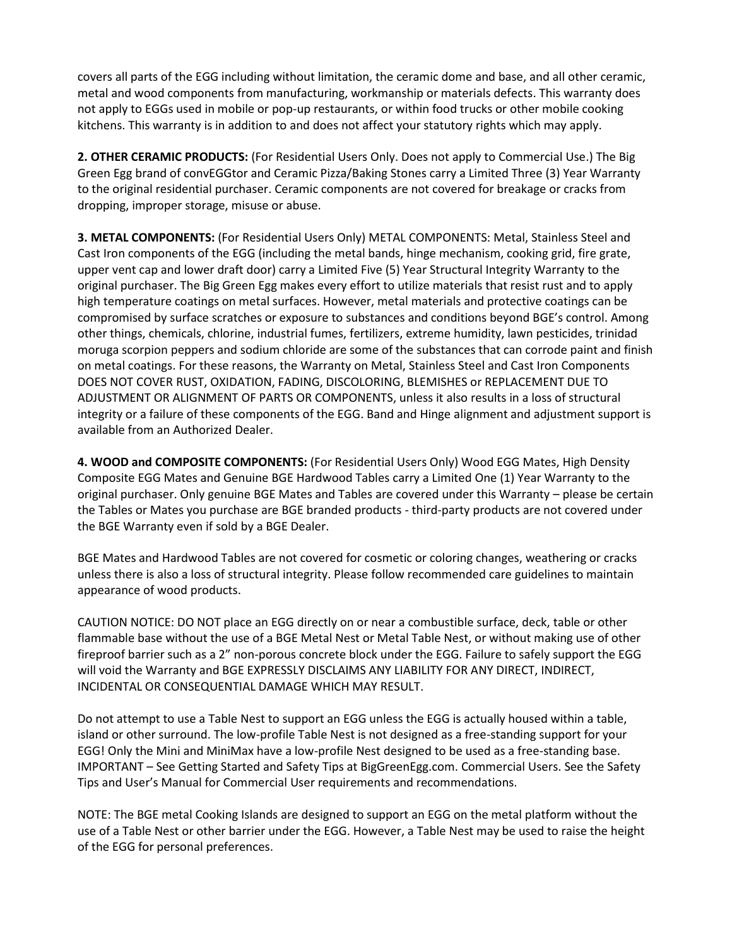covers all parts of the EGG including without limitation, the ceramic dome and base, and all other ceramic, metal and wood components from manufacturing, workmanship or materials defects. This warranty does not apply to EGGs used in mobile or pop-up restaurants, or within food trucks or other mobile cooking kitchens. This warranty is in addition to and does not affect your statutory rights which may apply.

**2. OTHER CERAMIC PRODUCTS:** (For Residential Users Only. Does not apply to Commercial Use.) The Big Green Egg brand of convEGGtor and Ceramic Pizza/Baking Stones carry a Limited Three (3) Year Warranty to the original residential purchaser. Ceramic components are not covered for breakage or cracks from dropping, improper storage, misuse or abuse.

**3. METAL COMPONENTS:** (For Residential Users Only) METAL COMPONENTS: Metal, Stainless Steel and Cast Iron components of the EGG (including the metal bands, hinge mechanism, cooking grid, fire grate, upper vent cap and lower draft door) carry a Limited Five (5) Year Structural Integrity Warranty to the original purchaser. The Big Green Egg makes every effort to utilize materials that resist rust and to apply high temperature coatings on metal surfaces. However, metal materials and protective coatings can be compromised by surface scratches or exposure to substances and conditions beyond BGE's control. Among other things, chemicals, chlorine, industrial fumes, fertilizers, extreme humidity, lawn pesticides, trinidad moruga scorpion peppers and sodium chloride are some of the substances that can corrode paint and finish on metal coatings. For these reasons, the Warranty on Metal, Stainless Steel and Cast Iron Components DOES NOT COVER RUST, OXIDATION, FADING, DISCOLORING, BLEMISHES or REPLACEMENT DUE TO ADJUSTMENT OR ALIGNMENT OF PARTS OR COMPONENTS, unless it also results in a loss of structural integrity or a failure of these components of the EGG. Band and Hinge alignment and adjustment support is available from an Authorized Dealer.

**4. WOOD and COMPOSITE COMPONENTS:** (For Residential Users Only) Wood EGG Mates, High Density Composite EGG Mates and Genuine BGE Hardwood Tables carry a Limited One (1) Year Warranty to the original purchaser. Only genuine BGE Mates and Tables are covered under this Warranty – please be certain the Tables or Mates you purchase are BGE branded products - third-party products are not covered under the BGE Warranty even if sold by a BGE Dealer.

BGE Mates and Hardwood Tables are not covered for cosmetic or coloring changes, weathering or cracks unless there is also a loss of structural integrity. Please follow recommended care guidelines to maintain appearance of wood products.

CAUTION NOTICE: DO NOT place an EGG directly on or near a combustible surface, deck, table or other flammable base without the use of a BGE Metal Nest or Metal Table Nest, or without making use of other fireproof barrier such as a 2" non-porous concrete block under the EGG. Failure to safely support the EGG will void the Warranty and BGE EXPRESSLY DISCLAIMS ANY LIABILITY FOR ANY DIRECT, INDIRECT, INCIDENTAL OR CONSEQUENTIAL DAMAGE WHICH MAY RESULT.

Do not attempt to use a Table Nest to support an EGG unless the EGG is actually housed within a table, island or other surround. The low-profile Table Nest is not designed as a free-standing support for your EGG! Only the Mini and MiniMax have a low-profile Nest designed to be used as a free-standing base. IMPORTANT – See Getting Started and Safety Tips at BigGreenEgg.com. Commercial Users. See the Safety Tips and User's Manual for Commercial User requirements and recommendations.

NOTE: The BGE metal Cooking Islands are designed to support an EGG on the metal platform without the use of a Table Nest or other barrier under the EGG. However, a Table Nest may be used to raise the height of the EGG for personal preferences.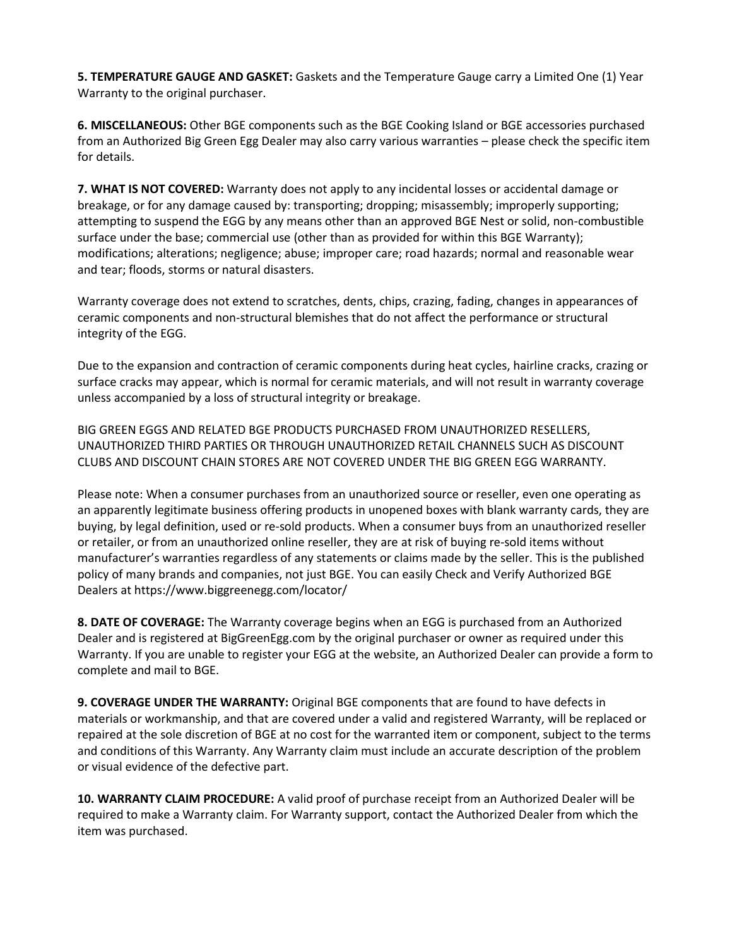**5. TEMPERATURE GAUGE AND GASKET:** Gaskets and the Temperature Gauge carry a Limited One (1) Year Warranty to the original purchaser.

**6. MISCELLANEOUS:** Other BGE components such as the BGE Cooking Island or BGE accessories purchased from an Authorized Big Green Egg Dealer may also carry various warranties – please check the specific item for details.

**7. WHAT IS NOT COVERED:** Warranty does not apply to any incidental losses or accidental damage or breakage, or for any damage caused by: transporting; dropping; misassembly; improperly supporting; attempting to suspend the EGG by any means other than an approved BGE Nest or solid, non-combustible surface under the base; commercial use (other than as provided for within this BGE Warranty); modifications; alterations; negligence; abuse; improper care; road hazards; normal and reasonable wear and tear; floods, storms or natural disasters.

Warranty coverage does not extend to scratches, dents, chips, crazing, fading, changes in appearances of ceramic components and non-structural blemishes that do not affect the performance or structural integrity of the EGG.

Due to the expansion and contraction of ceramic components during heat cycles, hairline cracks, crazing or surface cracks may appear, which is normal for ceramic materials, and will not result in warranty coverage unless accompanied by a loss of structural integrity or breakage.

BIG GREEN EGGS AND RELATED BGE PRODUCTS PURCHASED FROM UNAUTHORIZED RESELLERS, UNAUTHORIZED THIRD PARTIES OR THROUGH UNAUTHORIZED RETAIL CHANNELS SUCH AS DISCOUNT CLUBS AND DISCOUNT CHAIN STORES ARE NOT COVERED UNDER THE BIG GREEN EGG WARRANTY.

Please note: When a consumer purchases from an unauthorized source or reseller, even one operating as an apparently legitimate business offering products in unopened boxes with blank warranty cards, they are buying, by legal definition, used or re-sold products. When a consumer buys from an unauthorized reseller or retailer, or from an unauthorized online reseller, they are at risk of buying re-sold items without manufacturer's warranties regardless of any statements or claims made by the seller. This is the published policy of many brands and companies, not just BGE. You can easily Check and Verify Authorized BGE Dealers at https://www.biggreenegg.com/locator/

**8. DATE OF COVERAGE:** The Warranty coverage begins when an EGG is purchased from an Authorized Dealer and is registered at BigGreenEgg.com by the original purchaser or owner as required under this Warranty. If you are unable to register your EGG at the website, an Authorized Dealer can provide a form to complete and mail to BGE.

**9. COVERAGE UNDER THE WARRANTY:** Original BGE components that are found to have defects in materials or workmanship, and that are covered under a valid and registered Warranty, will be replaced or repaired at the sole discretion of BGE at no cost for the warranted item or component, subject to the terms and conditions of this Warranty. Any Warranty claim must include an accurate description of the problem or visual evidence of the defective part.

**10. WARRANTY CLAIM PROCEDURE:** A valid proof of purchase receipt from an Authorized Dealer will be required to make a Warranty claim. For Warranty support, contact the Authorized Dealer from which the item was purchased.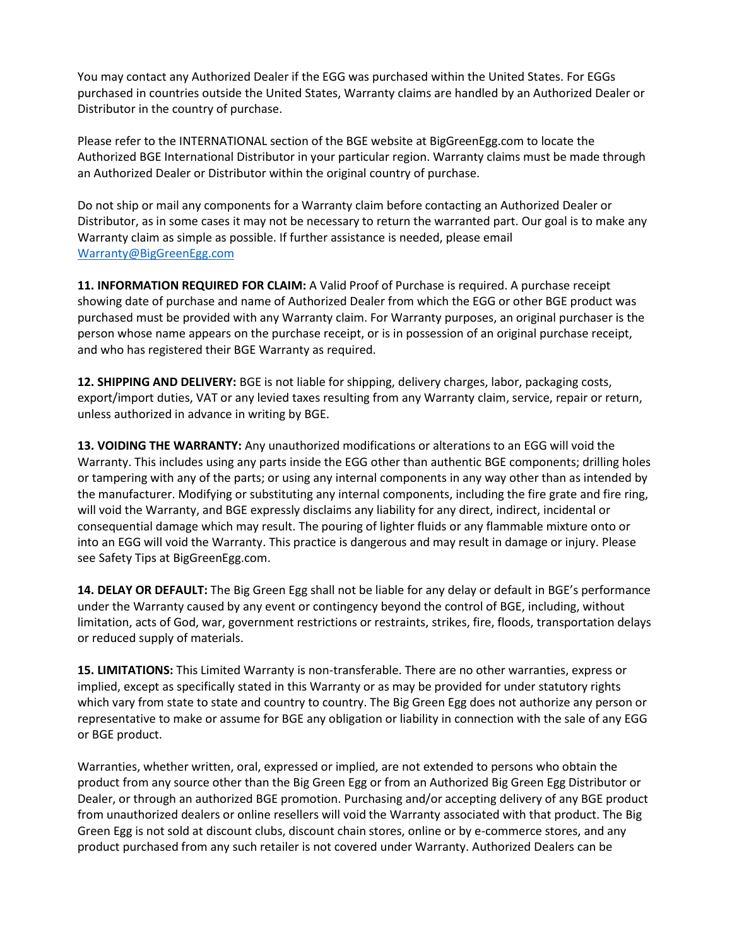You may contact any Authorized Dealer if the EGG was purchased within the United States. For EGGs purchased in countries outside the United States, Warranty claims are handled by an Authorized Dealer or Distributor in the country of purchase.

Please refer to the INTERNATIONAL section of the BGE website at BigGreenEgg.com to locate the Authorized BGE International Distributor in your particular region. Warranty claims must be made through an Authorized Dealer or Distributor within the original country of purchase.

Do not ship or mail any components for a Warranty claim before contacting an Authorized Dealer or Distributor, as in some cases it may not be necessary to return the warranted part. Our goal is to make any Warranty claim as simple as possible. If further assistance is needed, please email [Warranty@BigGreenEgg.com](mailto:warranty@BigGreenEgg.com)

**11. INFORMATION REQUIRED FOR CLAIM:** A Valid Proof of Purchase is required. A purchase receipt showing date of purchase and name of Authorized Dealer from which the EGG or other BGE product was purchased must be provided with any Warranty claim. For Warranty purposes, an original purchaser is the person whose name appears on the purchase receipt, or is in possession of an original purchase receipt, and who has registered their BGE Warranty as required.

**12. SHIPPING AND DELIVERY:** BGE is not liable for shipping, delivery charges, labor, packaging costs, export/import duties, VAT or any levied taxes resulting from any Warranty claim, service, repair or return, unless authorized in advance in writing by BGE.

**13. VOIDING THE WARRANTY:** Any unauthorized modifications or alterations to an EGG will void the Warranty. This includes using any parts inside the EGG other than authentic BGE components; drilling holes or tampering with any of the parts; or using any internal components in any way other than as intended by the manufacturer. Modifying or substituting any internal components, including the fire grate and fire ring, will void the Warranty, and BGE expressly disclaims any liability for any direct, indirect, incidental or consequential damage which may result. The pouring of lighter fluids or any flammable mixture onto or into an EGG will void the Warranty. This practice is dangerous and may result in damage or injury. Please see Safety Tips at BigGreenEgg.com.

**14. DELAY OR DEFAULT:** The Big Green Egg shall not be liable for any delay or default in BGE's performance under the Warranty caused by any event or contingency beyond the control of BGE, including, without limitation, acts of God, war, government restrictions or restraints, strikes, fire, floods, transportation delays or reduced supply of materials.

**15. LIMITATIONS:** This Limited Warranty is non-transferable. There are no other warranties, express or implied, except as specifically stated in this Warranty or as may be provided for under statutory rights which vary from state to state and country to country. The Big Green Egg does not authorize any person or representative to make or assume for BGE any obligation or liability in connection with the sale of any EGG or BGE product.

Warranties, whether written, oral, expressed or implied, are not extended to persons who obtain the product from any source other than the Big Green Egg or from an Authorized Big Green Egg Distributor or Dealer, or through an authorized BGE promotion. Purchasing and/or accepting delivery of any BGE product from unauthorized dealers or online resellers will void the Warranty associated with that product. The Big Green Egg is not sold at discount clubs, discount chain stores, online or by e-commerce stores, and any product purchased from any such retailer is not covered under Warranty. Authorized Dealers can be